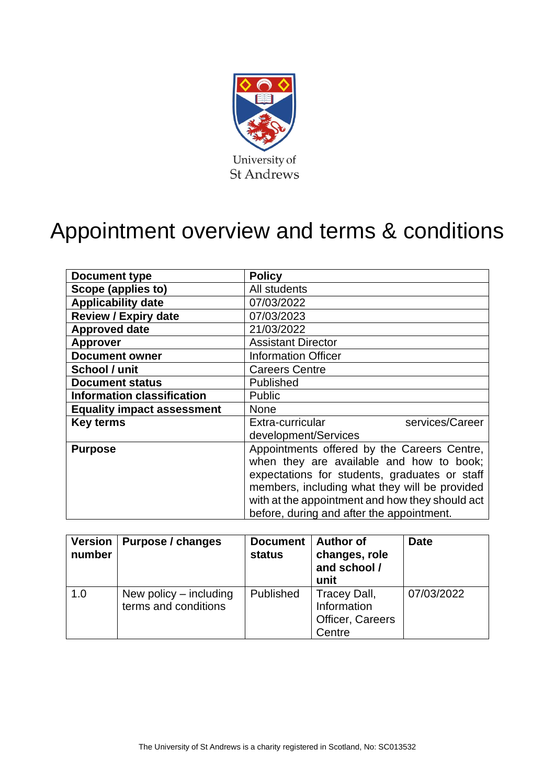

# Appointment overview and terms & conditions

| Document type                     | <b>Policy</b>                                   |  |  |
|-----------------------------------|-------------------------------------------------|--|--|
| Scope (applies to)                | All students                                    |  |  |
| <b>Applicability date</b>         | 07/03/2022                                      |  |  |
| <b>Review / Expiry date</b>       | 07/03/2023                                      |  |  |
| <b>Approved date</b>              | 21/03/2022                                      |  |  |
| <b>Approver</b>                   | <b>Assistant Director</b>                       |  |  |
| <b>Document owner</b>             | <b>Information Officer</b>                      |  |  |
| School / unit                     | <b>Careers Centre</b>                           |  |  |
| <b>Document status</b>            | Published                                       |  |  |
| <b>Information classification</b> | <b>Public</b>                                   |  |  |
| <b>Equality impact assessment</b> | <b>None</b>                                     |  |  |
| <b>Key terms</b>                  | Extra-curricular<br>services/Career             |  |  |
|                                   | development/Services                            |  |  |
| <b>Purpose</b>                    | Appointments offered by the Careers Centre,     |  |  |
|                                   | when they are available and how to book;        |  |  |
|                                   | expectations for students, graduates or staff   |  |  |
|                                   | members, including what they will be provided   |  |  |
|                                   | with at the appointment and how they should act |  |  |
|                                   | before, during and after the appointment.       |  |  |

| <b>Version</b><br>number | Purpose / changes                                | <b>Document</b><br>status | <b>Author of</b><br>changes, role<br>and school /<br>unit | <b>Date</b> |
|--------------------------|--------------------------------------------------|---------------------------|-----------------------------------------------------------|-------------|
| 1.0                      | New policy $-$ including<br>terms and conditions | Published                 | Tracey Dall,<br>Information<br>Officer, Careers<br>Centre | 07/03/2022  |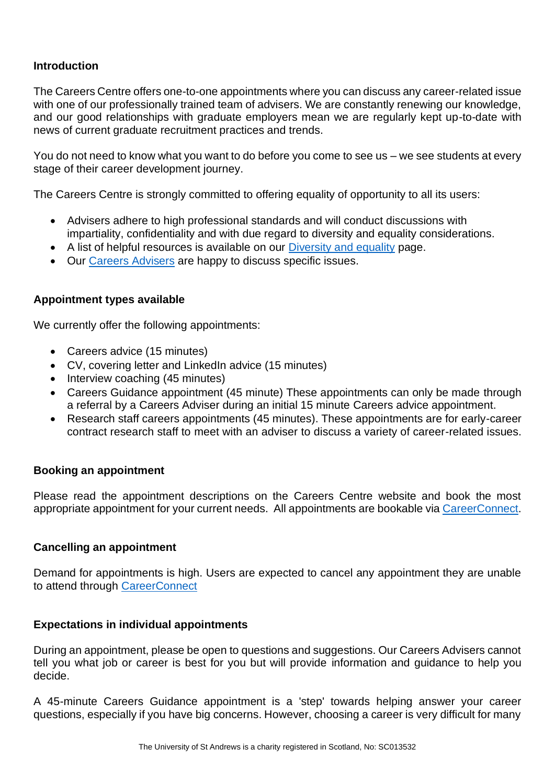## **Introduction**

The Careers Centre offers one-to-one appointments where you can discuss any career-related issue with one of our professionally trained team of advisers. We are constantly renewing our knowledge, and our good relationships with graduate employers mean we are regularly kept up-to-date with news of current graduate recruitment practices and trends.

You do not need to know what you want to do before you come to see us – we see students at every stage of their career development journey.

The Careers Centre is strongly committed to offering equality of opportunity to all its users:

- Advisers adhere to high professional standards and will conduct discussions with impartiality, confidentiality and with due regard to diversity and equality considerations.
- A list of helpful resources is available on our [Diversity and equality](https://www.st-andrews.ac.uk/careers/about/diversity-and-equality/) page.
- Our [Careers Advisers](https://www.st-andrews.ac.uk/careers/about/meet-the-team/) are happy to discuss specific issues.

#### **Appointment types available**

We currently offer the following appointments:

- Careers advice (15 minutes)
- CV, covering letter and LinkedIn advice (15 minutes)
- Interview coaching (45 minutes)
- Careers Guidance appointment (45 minute) These appointments can only be made through a referral by a Careers Adviser during an initial 15 minute Careers advice appointment.
- Research staff careers appointments (45 minutes). These appointments are for early-career contract research staff to meet with an adviser to discuss a variety of career-related issues.

#### **Booking an appointment**

Please read the appointment descriptions on the Careers Centre website and book the most appropriate appointment for your current needs. All appointments are bookable via [CareerConnect.](https://careerconnect.st-andrews.ac.uk/leap/appointments.html)

#### **Cancelling an appointment**

Demand for appointments is high. Users are expected to cancel any appointment they are unable to attend through [CareerConnect](https://careerconnect.st-andrews.ac.uk/leap/appointments.html)

### **Expectations in individual appointments**

During an appointment, please be open to questions and suggestions. Our Careers Advisers cannot tell you what job or career is best for you but will provide information and guidance to help you decide.

A 45-minute Careers Guidance appointment is a 'step' towards helping answer your career questions, especially if you have big concerns. However, choosing a career is very difficult for many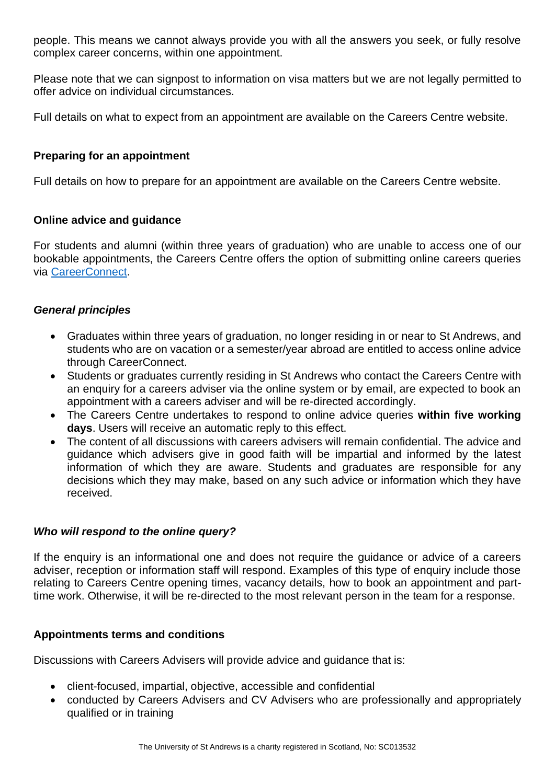people. This means we cannot always provide you with all the answers you seek, or fully resolve complex career concerns, within one appointment.

Please note that we can signpost to information on visa matters but we are not legally permitted to offer advice on individual circumstances.

Full details on what to expect from an appointment are available on the Careers Centre website.

# **Preparing for an appointment**

Full details on how to prepare for an appointment are available on the Careers Centre website.

## **Online advice and guidance**

For students and alumni (within three years of graduation) who are unable to access one of our bookable appointments, the Careers Centre offers the option of submitting online careers queries via [CareerConnect.](https://careerconnect.st-andrews.ac.uk/leap/queries.html)

# *General principles*

- Graduates within three years of graduation, no longer residing in or near to St Andrews, and students who are on vacation or a semester/year abroad are entitled to access online advice through CareerConnect.
- Students or graduates currently residing in St Andrews who contact the Careers Centre with an enquiry for a careers adviser via the online system or by email, are expected to book an appointment with a careers adviser and will be re-directed accordingly.
- The Careers Centre undertakes to respond to online advice queries **within five working days**. Users will receive an automatic reply to this effect.
- The content of all discussions with careers advisers will remain confidential. The advice and guidance which advisers give in good faith will be impartial and informed by the latest information of which they are aware. Students and graduates are responsible for any decisions which they may make, based on any such advice or information which they have received.

### *Who will respond to the online query?*

If the enquiry is an informational one and does not require the guidance or advice of a careers adviser, reception or information staff will respond. Examples of this type of enquiry include those relating to Careers Centre opening times, vacancy details, how to book an appointment and parttime work. Otherwise, it will be re-directed to the most relevant person in the team for a response.

### **Appointments terms and conditions**

Discussions with Careers Advisers will provide advice and guidance that is:

- client-focused, impartial, objective, accessible and confidential
- conducted by Careers Advisers and CV Advisers who are professionally and appropriately qualified or in training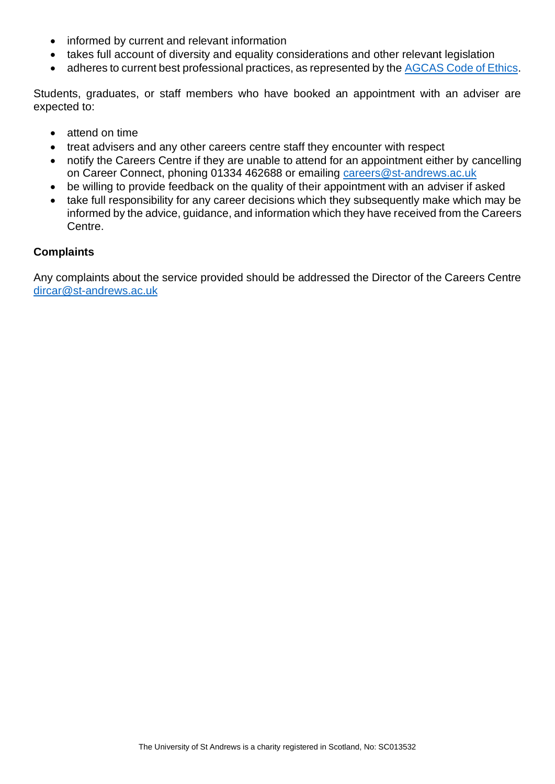- informed by current and relevant information
- takes full account of diversity and equality considerations and other relevant legislation
- adheres to current best professional practices, as represented by the [AGCAS Code of Ethics.](https://www.agcas.org.uk/AGCAS-Member-Code-of-Ethics)

Students, graduates, or staff members who have booked an appointment with an adviser are expected to:

- attend on time
- treat advisers and any other careers centre staff they encounter with respect
- notify the Careers Centre if they are unable to attend for an appointment either by cancelling on Career Connect, phoning 01334 462688 or emailing [careers@st-andrews.ac.uk](mailto:careers@st-andrews.ac.uk)
- be willing to provide feedback on the quality of their appointment with an adviser if asked
- take full responsibility for any career decisions which they subsequently make which may be informed by the advice, guidance, and information which they have received from the Careers Centre.

## **Complaints**

Any complaints about the service provided should be addressed the Director of the Careers Centre [dircar@st-andrews.ac.uk](mailto:dircar@st-andrews.ac.uk)